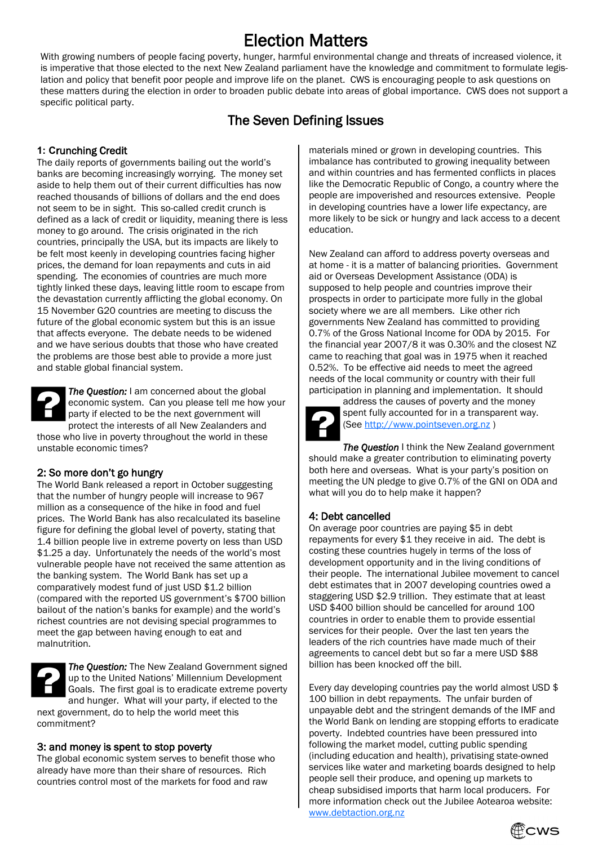# Election Matters

With growing numbers of people facing poverty, hunger, harmful environmental change and threats of increased violence, it is imperative that those elected to the next New Zealand parliament have the knowledge and commitment to formulate legislation and policy that benefit poor people and improve life on the planet. CWS is encouraging people to ask questions on these matters during the election in order to broaden public debate into areas of global importance. CWS does not support a specific political party.

# The Seven Defining Issues

# **1: C**runching Credit

The daily reports of governments bailing out the world's banks are becoming increasingly worrying. The money set aside to help them out of their current difficulties has now reached thousands of billions of dollars and the end does not seem to be in sight. This so-called credit crunch is defined as a lack of credit or liquidity, meaning there is less money to go around. The crisis originated in the rich countries, principally the USA, but its impacts are likely to be felt most keenly in developing countries facing higher prices, the demand for loan repayments and cuts in aid spending. The economies of countries are much more tightly linked these days, leaving little room to escape from the devastation currently afflicting the global economy. On 15 November G20 countries are meeting to discuss the future of the global economic system but this is an issue that affects everyone. The debate needs to be widened and we have serious doubts that those who have created the problems are those best able to provide a more just and stable global financial system.



*The Question:* I am concerned about the global economic system. Can you please tell me how your party if elected to be the next government will protect the interests of all New Zealanders and those who live in poverty throughout the world in these

unstable economic times?

#### 2: So more don't go hungry

The World Bank released a report in October suggesting that the number of hungry people will increase to 967 million as a consequence of the hike in food and fuel prices. The World Bank has also recalculated its baseline figure for defining the global level of poverty, stating that 1.4 billion people live in extreme poverty on less than USD \$1.25 a day. Unfortunately the needs of the world's most vulnerable people have not received the same attention as the banking system. The World Bank has set up a comparatively modest fund of just USD \$1.2 billion (compared with the reported US government's \$700 billion bailout of the nation's banks for example) and the world's richest countries are not devising special programmes to meet the gap between having enough to eat and malnutrition.



*The Question:* The New Zealand Government signed up to the United Nations' Millennium Development Goals. The first goal is to eradicate extreme poverty and hunger. What will your party, if elected to the

next government, do to help the world meet this commitment?

#### 3: and money is spent to stop poverty

The global economic system serves to benefit those who already have more than their share of resources. Rich countries control most of the markets for food and raw

materials mined or grown in developing countries. This imbalance has contributed to growing inequality between and within countries and has fermented conflicts in places like the Democratic Republic of Congo, a country where the people are impoverished and resources extensive. People in developing countries have a lower life expectancy, are more likely to be sick or hungry and lack access to a decent education.

New Zealand can afford to address poverty overseas and at home - it is a matter of balancing priorities. Government aid or Overseas Development Assistance (ODA) is supposed to help people and countries improve their prospects in order to participate more fully in the global society where we are all members. Like other rich governments New Zealand has committed to providing 0.7% of the Gross National Income for ODA by 2015. For the financial year 2007/8 it was 0.30% and the closest NZ came to reaching that goal was in 1975 when it reached 0.52%. To be effective aid needs to meet the agreed needs of the local community or country with their full participation in planning and implementation. It should



address the causes of poverty and the money spent fully accounted for in a transparent way. (See [http://www.pointseven.org.nz](http://www.pointseven.org.nz/) )

**The Question** I think the New Zealand government should make a greater contribution to eliminating poverty both here and overseas. What is your party's position on meeting the UN pledge to give 0.7% of the GNI on ODA and what will you do to help make it happen?

#### 4: Debt cancelled

On average poor countries are paying \$5 in debt repayments for every \$1 they receive in aid. The debt is costing these countries hugely in terms of the loss of development opportunity and in the living conditions of their people. The international Jubilee movement to cancel debt estimates that in 2007 developing countries owed a staggering USD \$2.9 trillion. They estimate that at least USD \$400 billion should be cancelled for around 100 countries in order to enable them to provide essential services for their people. Over the last ten years the leaders of the rich countries have made much of their agreements to cancel debt but so far a mere USD \$88 billion has been knocked off the bill.

Every day developing countries pay the world almost USD \$ 100 billion in debt repayments. The unfair burden of unpayable debt and the stringent demands of the IMF and the World Bank on lending are stopping efforts to eradicate poverty. Indebted countries have been pressured into following the market model, cutting public spending (including education and health), privatising state-owned services like water and marketing boards designed to help people sell their produce, and opening up markets to cheap subsidised imports that harm local producers. For more information check out the Jubilee Aotearoa website: [www.debtaction.org.nz](http://www.debtaction.org.nz/)